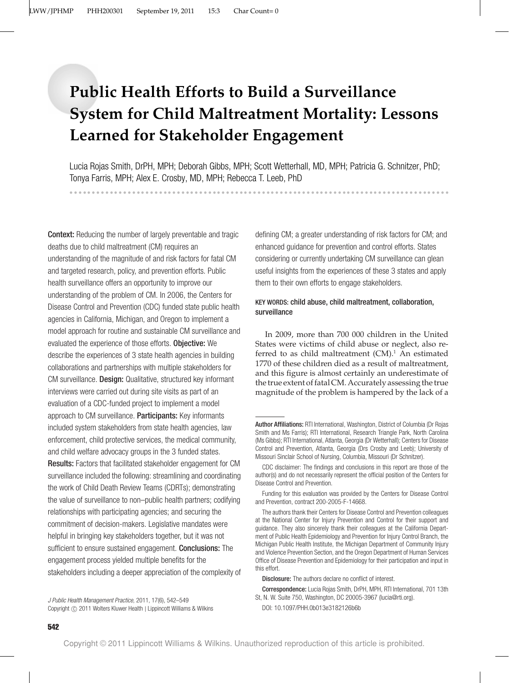# **Public Health Efforts to Build a Surveillance System for Child Maltreatment Mortality: Lessons Learned for Stakeholder Engagement**

Lucia Rojas Smith, DrPH, MPH; Deborah Gibbs, MPH; Scott Wetterhall, MD, MPH; Patricia G. Schnitzer, PhD; Tonya Farris, MPH; Alex E. Crosby, MD, MPH; Rebecca T. Leeb, PhD

Context: Reducing the number of largely preventable and tragic deaths due to child maltreatment (CM) requires an understanding of the magnitude of and risk factors for fatal CM and targeted research, policy, and prevention efforts. Public health surveillance offers an opportunity to improve our understanding of the problem of CM. In 2006, the Centers for Disease Control and Prevention (CDC) funded state public health agencies in California, Michigan, and Oregon to implement a model approach for routine and sustainable CM surveillance and evaluated the experience of those efforts. Objective: We describe the experiences of 3 state health agencies in building collaborations and partnerships with multiple stakeholders for CM surveillance. Design: Qualitative, structured key informant interviews were carried out during site visits as part of an evaluation of a CDC-funded project to implement a model approach to CM surveillance. Participants: Key informants included system stakeholders from state health agencies, law enforcement, child protective services, the medical community, and child welfare advocacy groups in the 3 funded states. Results: Factors that facilitated stakeholder engagement for CM surveillance included the following: streamlining and coordinating the work of Child Death Review Teams (CDRTs); demonstrating the value of surveillance to non–public health partners; codifying relationships with participating agencies; and securing the commitment of decision-makers. Legislative mandates were helpful in bringing key stakeholders together, but it was not sufficient to ensure sustained engagement. Conclusions: The engagement process yielded multiple benefits for the stakeholders including a deeper appreciation of the complexity of

defining CM; a greater understanding of risk factors for CM; and enhanced guidance for prevention and control efforts. States considering or currently undertaking CM surveillance can glean useful insights from the experiences of these 3 states and apply them to their own efforts to engage stakeholders.

------------------------

# KEY WORDS: child abuse, child maltreatment, collaboration, surveillance

In 2009, more than 700 000 children in the United States were victims of child abuse or neglect, also referred to as child maltreatment  $(CM)^1$ . An estimated 1770 of these children died as a result of maltreatment, and this figure is almost certainly an underestimate of the true extent of fatal CM. Accurately assessing the true magnitude of the problem is hampered by the lack of a

*J Public Health Management Practice*, 2011, 17(6), 542–549 Copyright © 2011 Wolters Kluwer Health | Lippincott Williams & Wilkins

-------------------------------------------------------------

Author Affiliations: RTI International, Washington, District of Columbia (Dr Rojas Smith and Ms Farris); RTI International, Research Triangle Park, North Carolina (Ms Gibbs); RTI International, Atlanta, Georgia (Dr Wetterhall); Centers for Disease Control and Prevention, Atlanta, Georgia (Drs Crosby and Leeb); University of Missouri Sinclair School of Nursing, Columbia, Missouri (Dr Schnitzer).

CDC disclaimer: The findings and conclusions in this report are those of the author(s) and do not necessarily represent the official position of the Centers for Disease Control and Prevention.

Funding for this evaluation was provided by the Centers for Disease Control and Prevention, contract 200-2005-F-14668.

The authors thank their Centers for Disease Control and Prevention colleagues at the National Center for Injury Prevention and Control for their support and guidance. They also sincerely thank their colleagues at the California Department of Public Health Epidemiology and Prevention for Injury Control Branch, the Michigan Public Health Institute, the Michigan Department of Community Injury and Violence Prevention Section, and the Oregon Department of Human Services Office of Disease Prevention and Epidemiology for their participation and input in this effort.

Disclosure: The authors declare no conflict of interest.

Correspondence: Lucia Rojas Smith, DrPH, MPH, RTI International, 701 13th St, N. W. Suite 750, Washington, DC 20005-3967 (lucia@rti.org).

DOI: 10.1097/PHH.0b013e3182126b6b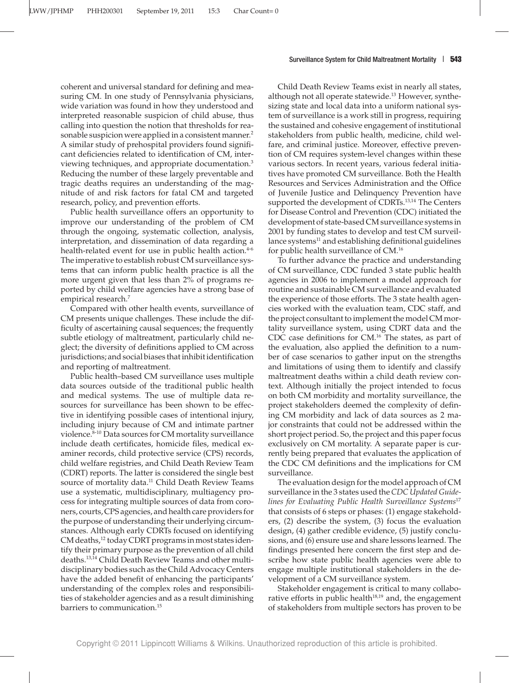coherent and universal standard for defining and measuring CM. In one study of Pennsylvania physicians, wide variation was found in how they understood and interpreted reasonable suspicion of child abuse, thus calling into question the notion that thresholds for reasonable suspicion were applied in a consistent manner.<sup>2</sup> A similar study of prehospital providers found significant deficiencies related to identification of CM, interviewing techniques, and appropriate documentation.3 Reducing the number of these largely preventable and tragic deaths requires an understanding of the magnitude of and risk factors for fatal CM and targeted research, policy, and prevention efforts.

Public health surveillance offers an opportunity to improve our understanding of the problem of CM through the ongoing, systematic collection, analysis, interpretation, and dissemination of data regarding a health-related event for use in public health action.<sup>4-6</sup> The imperative to establish robust CM surveillance systems that can inform public health practice is all the more urgent given that less than 2% of programs reported by child welfare agencies have a strong base of empirical research.<sup>7</sup>

Compared with other health events, surveillance of CM presents unique challenges. These include the difficulty of ascertaining causal sequences; the frequently subtle etiology of maltreatment, particularly child neglect; the diversity of definitions applied to CM across jurisdictions; and social biases that inhibit identification and reporting of maltreatment.

Public health–based CM surveillance uses multiple data sources outside of the traditional public health and medical systems. The use of multiple data resources for surveillance has been shown to be effective in identifying possible cases of intentional injury, including injury because of CM and intimate partner violence.<sup>8-10</sup> Data sources for CM mortality surveillance include death certificates, homicide files, medical examiner records, child protective service (CPS) records, child welfare registries, and Child Death Review Team (CDRT) reports. The latter is considered the single best source of mortality data.<sup>11</sup> Child Death Review Teams use a systematic, multidisciplinary, multiagency process for integrating multiple sources of data from coroners, courts, CPS agencies, and health care providers for the purpose of understanding their underlying circumstances. Although early CDRTs focused on identifying CM deaths,<sup>12</sup> today CDRT programs in most states identify their primary purpose as the prevention of all child deaths.13,14 Child Death Review Teams and other multidisciplinary bodies such as the Child Advocacy Centers have the added benefit of enhancing the participants' understanding of the complex roles and responsibilities of stakeholder agencies and as a result diminishing barriers to communication.<sup>15</sup>

Child Death Review Teams exist in nearly all states, although not all operate statewide.<sup>13</sup> However, synthesizing state and local data into a uniform national system of surveillance is a work still in progress, requiring the sustained and cohesive engagement of institutional stakeholders from public health, medicine, child welfare, and criminal justice. Moreover, effective prevention of CM requires system-level changes within these various sectors. In recent years, various federal initiatives have promoted CM surveillance. Both the Health Resources and Services Administration and the Office of Juvenile Justice and Delinquency Prevention have supported the development of CDRTs.<sup>13,14</sup> The Centers for Disease Control and Prevention (CDC) initiated the development of state-based CM surveillance systems in 2001 by funding states to develop and test CM surveillance systems $<sup>11</sup>$  and establishing definitional guidelines</sup> for public health surveillance of CM.16

To further advance the practice and understanding of CM surveillance, CDC funded 3 state public health agencies in 2006 to implement a model approach for routine and sustainable CM surveillance and evaluated the experience of those efforts. The 3 state health agencies worked with the evaluation team, CDC staff, and the project consultant to implement the model CM mortality surveillance system, using CDRT data and the CDC case definitions for CM.<sup>16</sup> The states, as part of the evaluation, also applied the definition to a number of case scenarios to gather input on the strengths and limitations of using them to identify and classify maltreatment deaths within a child death review context. Although initially the project intended to focus on both CM morbidity and mortality surveillance, the project stakeholders deemed the complexity of defining CM morbidity and lack of data sources as 2 major constraints that could not be addressed within the short project period. So, the project and this paper focus exclusively on CM mortality. A separate paper is currently being prepared that evaluates the application of the CDC CM definitions and the implications for CM surveillance.

The evaluation design for the model approach of CM surveillance in the 3 states used the *CDC Updated Guidelines for Evaluating Public Health Surveillance Systems*<sup>17</sup> that consists of 6 steps or phases: (1) engage stakeholders, (2) describe the system, (3) focus the evaluation design, (4) gather credible evidence, (5) justify conclusions, and (6) ensure use and share lessons learned. The findings presented here concern the first step and describe how state public health agencies were able to engage multiple institutional stakeholders in the development of a CM surveillance system.

Stakeholder engagement is critical to many collaborative efforts in public health $18,19$  and, the engagement of stakeholders from multiple sectors has proven to be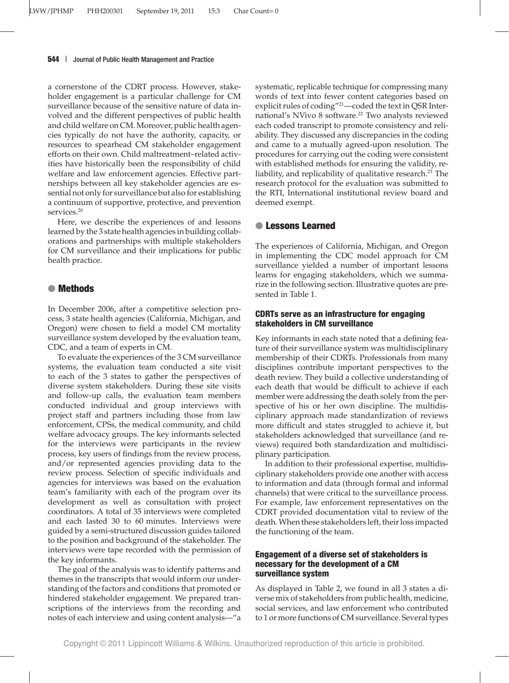a cornerstone of the CDRT process. However, stakeholder engagement is a particular challenge for CM surveillance because of the sensitive nature of data involved and the different perspectives of public health and child welfare on CM. Moreover, public health agencies typically do not have the authority, capacity, or resources to spearhead CM stakeholder engagement efforts on their own. Child maltreatment–related activities have historically been the responsibility of child welfare and law enforcement agencies. Effective partnerships between all key stakeholder agencies are essential not only for surveillance but also for establishing a continuum of supportive, protective, and prevention services.<sup>20</sup>

Here, we describe the experiences of and lessons learned by the 3 state health agencies in building collaborations and partnerships with multiple stakeholders for CM surveillance and their implications for public health practice.

# ● **Methods**

In December 2006, after a competitive selection process, 3 state health agencies (California, Michigan, and Oregon) were chosen to field a model CM mortality surveillance system developed by the evaluation team, CDC, and a team of experts in CM.

To evaluate the experiences of the 3 CM surveillance systems, the evaluation team conducted a site visit to each of the 3 states to gather the perspectives of diverse system stakeholders. During these site visits and follow-up calls, the evaluation team members conducted individual and group interviews with project staff and partners including those from law enforcement, CPSs, the medical community, and child welfare advocacy groups. The key informants selected for the interviews were participants in the review process, key users of findings from the review process, and/or represented agencies providing data to the review process. Selection of specific individuals and agencies for interviews was based on the evaluation team's familiarity with each of the program over its development as well as consultation with project coordinators. A total of 35 interviews were completed and each lasted 30 to 60 minutes. Interviews were guided by a semi-structured discussion guides tailored to the position and background of the stakeholder. The interviews were tape recorded with the permission of the key informants.

The goal of the analysis was to identify patterns and themes in the transcripts that would inform our understanding of the factors and conditions that promoted or hindered stakeholder engagement. We prepared transcriptions of the interviews from the recording and notes of each interview and using content analysis—"a

systematic, replicable technique for compressing many words of text into fewer content categories based on explicit rules of coding"21—coded the text in QSR International's NVivo 8 software.<sup>22</sup> Two analysts reviewed each coded transcript to promote consistency and reliability. They discussed any discrepancies in the coding and came to a mutually agreed-upon resolution. The procedures for carrying out the coding were consistent with established methods for ensuring the validity, reliability, and replicability of qualitative research.<sup>23</sup> The research protocol for the evaluation was submitted to the RTI, International institutional review board and deemed exempt.

# ● **Lessons Learned**

The experiences of California, Michigan, and Oregon in implementing the CDC model approach for CM surveillance yielded a number of important lessons learns for engaging stakeholders, which we summarize in the following section. Illustrative quotes are presented in Table 1.

# **CDRTs serve as an infrastructure for engaging stakeholders in CM surveillance**

Key informants in each state noted that a defining feature of their surveillance system was multidisciplinary membership of their CDRTs. Professionals from many disciplines contribute important perspectives to the death review. They build a collective understanding of each death that would be difficult to achieve if each member were addressing the death solely from the perspective of his or her own discipline. The multidisciplinary approach made standardization of reviews more difficult and states struggled to achieve it, but stakeholders acknowledged that surveillance (and reviews) required both standardization and multidisciplinary participation.

In addition to their professional expertise, multidisciplinary stakeholders provide one another with access to information and data (through formal and informal channels) that were critical to the surveillance process. For example, law enforcement representatives on the CDRT provided documentation vital to review of the death. When these stakeholders left, their loss impacted the functioning of the team.

# **Engagement of a diverse set of stakeholders is necessary for the development of a CM surveillance system**

As displayed in Table 2, we found in all 3 states a diverse mix of stakeholders from public health, medicine, social services, and law enforcement who contributed to 1 or more functions of CM surveillance. Several types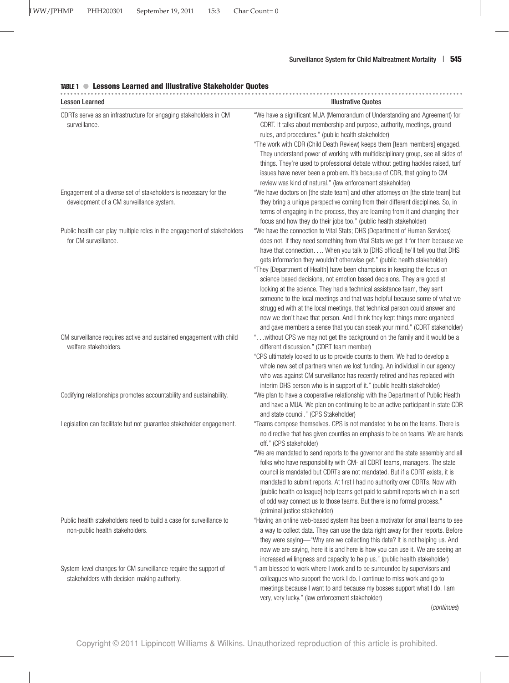# TABLE 1 ● **Lessons Learned and Illustrative Stakeholder Quotes**

| <b>Lesson Learned</b>                                                                                           | <b>Illustrative Quotes</b>                                                                                                                                                                                                                                                                                                                                                                                                                                                                                                                                                                                                                                                                                                                                                                                                                                                             |
|-----------------------------------------------------------------------------------------------------------------|----------------------------------------------------------------------------------------------------------------------------------------------------------------------------------------------------------------------------------------------------------------------------------------------------------------------------------------------------------------------------------------------------------------------------------------------------------------------------------------------------------------------------------------------------------------------------------------------------------------------------------------------------------------------------------------------------------------------------------------------------------------------------------------------------------------------------------------------------------------------------------------|
| CDRTs serve as an infrastructure for engaging stakeholders in CM<br>surveillance.                               | "We have a significant MUA (Memorandum of Understanding and Agreement) for<br>CDRT. It talks about membership and purpose, authority, meetings, ground<br>rules, and procedures." (public health stakeholder)<br>"The work with CDR (Child Death Review) keeps them [team members] engaged.<br>They understand power of working with multidisciplinary group, see all sides of<br>things. They're used to professional debate without getting hackles raised, turf<br>issues have never been a problem. It's because of CDR, that going to CM<br>review was kind of natural." (law enforcement stakeholder)                                                                                                                                                                                                                                                                            |
| Engagement of a diverse set of stakeholders is necessary for the<br>development of a CM surveillance system.    | "We have doctors on [the state team] and other attorneys on [the state team] but<br>they bring a unique perspective coming from their different disciplines. So, in<br>terms of engaging in the process, they are learning from it and changing their<br>focus and how they do their jobs too." (public health stakeholder)                                                                                                                                                                                                                                                                                                                                                                                                                                                                                                                                                            |
| Public health can play multiple roles in the engagement of stakeholders<br>for CM surveillance.                 | "We have the connection to Vital Stats; DHS (Department of Human Services)<br>does not. If they need something from Vital Stats we get it for them because we<br>have that connection When you talk to [DHS official] he'll tell you that DHS<br>gets information they wouldn't otherwise get." (public health stakeholder)<br>"They [Department of Health] have been champions in keeping the focus on<br>science based decisions, not emotion based decisions. They are good at<br>looking at the science. They had a technical assistance team, they sent<br>someone to the local meetings and that was helpful because some of what we<br>struggled with at the local meetings, that technical person could answer and<br>now we don't have that person. And I think they kept things more organized<br>and gave members a sense that you can speak your mind." (CDRT stakeholder) |
| CM surveillance requires active and sustained engagement with child<br>welfare stakeholders.                    | " without CPS we may not get the background on the family and it would be a<br>different discussion." (CDRT team member)<br>"CPS ultimately looked to us to provide counts to them. We had to develop a<br>whole new set of partners when we lost funding. An individual in our agency<br>who was against CM surveillance has recently retired and has replaced with<br>interim DHS person who is in support of it." (public health stakeholder)                                                                                                                                                                                                                                                                                                                                                                                                                                       |
| Codifying relationships promotes accountability and sustainability.                                             | "We plan to have a cooperative relationship with the Department of Public Health<br>and have a MUA. We plan on continuing to be an active participant in state CDR<br>and state council." (CPS Stakeholder)                                                                                                                                                                                                                                                                                                                                                                                                                                                                                                                                                                                                                                                                            |
| Legislation can facilitate but not guarantee stakeholder engagement.                                            | "Teams compose themselves. CPS is not mandated to be on the teams. There is<br>no directive that has given counties an emphasis to be on teams. We are hands<br>off." (CPS stakeholder)<br>"We are mandated to send reports to the governor and the state assembly and all<br>folks who have responsibility with CM- all CDRT teams, managers. The state<br>council is mandated but CDRTs are not mandated. But if a CDRT exists, it is<br>mandated to submit reports. At first I had no authority over CDRTs. Now with<br>[public health colleague] help teams get paid to submit reports which in a sort<br>of odd way connect us to those teams. But there is no formal process."<br>(criminal justice stakeholder)                                                                                                                                                                 |
| Public health stakeholders need to build a case for surveillance to<br>non-public health stakeholders.          | "Having an online web-based system has been a motivator for small teams to see<br>a way to collect data. They can use the data right away for their reports. Before<br>they were saying—"Why are we collecting this data? It is not helping us. And<br>now we are saying, here it is and here is how you can use it. We are seeing an<br>increased willingness and capacity to help us." (public health stakeholder)                                                                                                                                                                                                                                                                                                                                                                                                                                                                   |
| System-level changes for CM surveillance require the support of<br>stakeholders with decision-making authority. | "I am blessed to work where I work and to be surrounded by supervisors and<br>colleagues who support the work I do. I continue to miss work and go to<br>meetings because I want to and because my bosses support what I do. I am<br>very, very lucky." (law enforcement stakeholder)<br>(continues)                                                                                                                                                                                                                                                                                                                                                                                                                                                                                                                                                                                   |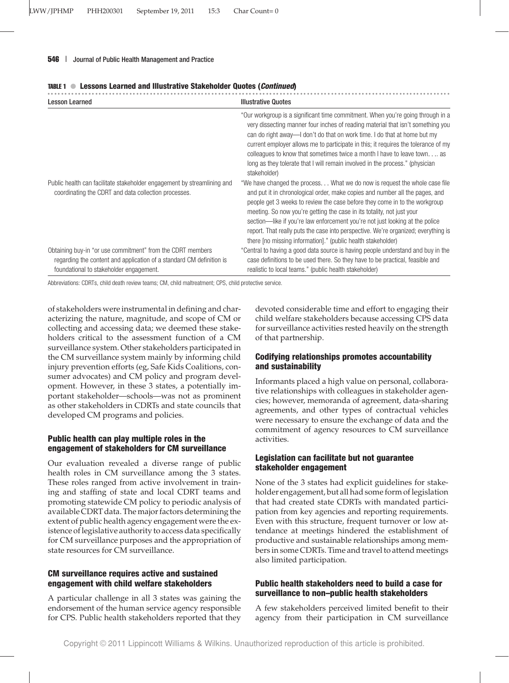| <b>Lesson Learned</b>                                                                                                                                                         | <b>Illustrative Quotes</b>                                                                                                                                                                                                                                                                                                                                                                                                                                                                                                                               |  |  |
|-------------------------------------------------------------------------------------------------------------------------------------------------------------------------------|----------------------------------------------------------------------------------------------------------------------------------------------------------------------------------------------------------------------------------------------------------------------------------------------------------------------------------------------------------------------------------------------------------------------------------------------------------------------------------------------------------------------------------------------------------|--|--|
|                                                                                                                                                                               | "Our workgroup is a significant time commitment. When you're going through in a<br>very dissecting manner four inches of reading material that isn't something you<br>can do right away—I don't do that on work time. I do that at home but my<br>current employer allows me to participate in this; it requires the tolerance of my<br>colleagues to know that sometimes twice a month I have to leave town as<br>long as they tolerate that I will remain involved in the process." (physician<br>stakeholder)                                         |  |  |
| Public health can facilitate stakeholder engagement by streamlining and<br>coordinating the CDRT and data collection processes.                                               | "We have changed the process What we do now is request the whole case file<br>and put it in chronological order, make copies and number all the pages, and<br>people get 3 weeks to review the case before they come in to the workgroup<br>meeting. So now you're getting the case in its totality, not just your<br>section—like if you're law enforcement you're not just looking at the police<br>report. That really puts the case into perspective. We're organized; everything is<br>there ino missing information]." (public health stakeholder) |  |  |
| Obtaining buy-in "or use commitment" from the CDRT members<br>regarding the content and application of a standard CM definition is<br>foundational to stakeholder engagement. | "Central to having a good data source is having people understand and buy in the<br>case definitions to be used there. So they have to be practical, feasible and<br>realistic to local teams." (public health stakeholder)                                                                                                                                                                                                                                                                                                                              |  |  |

#### TABLE 1 ● **Lessons Learned and Illustrative Stakeholder Quotes (***Continued***)**

Abbreviations: CDRTs, child death review teams; CM, child maltreatment; CPS, child protective service.

of stakeholders were instrumental in defining and characterizing the nature, magnitude, and scope of CM or collecting and accessing data; we deemed these stakeholders critical to the assessment function of a CM surveillance system. Other stakeholders participated in the CM surveillance system mainly by informing child injury prevention efforts (eg, Safe Kids Coalitions, consumer advocates) and CM policy and program development. However, in these 3 states, a potentially important stakeholder—schools—was not as prominent as other stakeholders in CDRTs and state councils that developed CM programs and policies.

# **Public health can play multiple roles in the engagement of stakeholders for CM surveillance**

Our evaluation revealed a diverse range of public health roles in CM surveillance among the 3 states. These roles ranged from active involvement in training and staffing of state and local CDRT teams and promoting statewide CM policy to periodic analysis of available CDRT data. The major factors determining the extent of public health agency engagement were the existence of legislative authority to access data specifically for CM surveillance purposes and the appropriation of state resources for CM surveillance.

# **CM surveillance requires active and sustained engagement with child welfare stakeholders**

A particular challenge in all 3 states was gaining the endorsement of the human service agency responsible for CPS. Public health stakeholders reported that they devoted considerable time and effort to engaging their child welfare stakeholders because accessing CPS data for surveillance activities rested heavily on the strength of that partnership.

# **Codifying relationships promotes accountability and sustainability**

Informants placed a high value on personal, collaborative relationships with colleagues in stakeholder agencies; however, memoranda of agreement, data-sharing agreements, and other types of contractual vehicles were necessary to ensure the exchange of data and the commitment of agency resources to CM surveillance activities.

# **Legislation can facilitate but not guarantee stakeholder engagement**

None of the 3 states had explicit guidelines for stakeholder engagement, but all had some form of legislation that had created state CDRTs with mandated participation from key agencies and reporting requirements. Even with this structure, frequent turnover or low attendance at meetings hindered the establishment of productive and sustainable relationships among members in some CDRTs. Time and travel to attend meetings also limited participation.

# **Public health stakeholders need to build a case for surveillance to non–public health stakeholders**

A few stakeholders perceived limited benefit to their agency from their participation in CM surveillance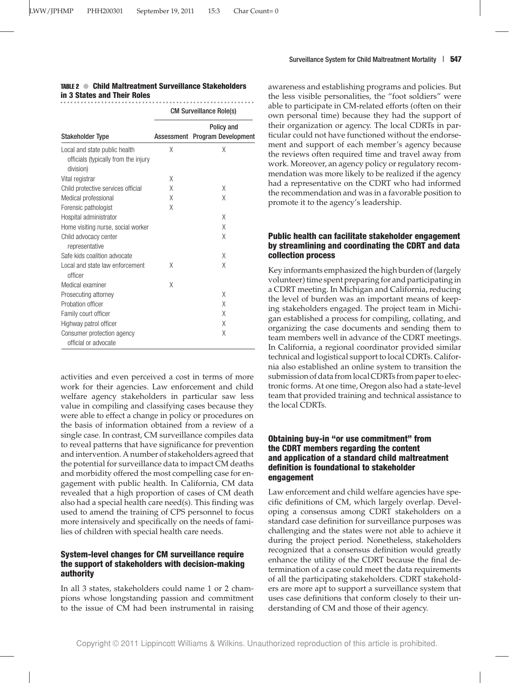#### TABLE 2 ● **Child Maltreatment Surveillance Stakeholders in 3 States and Their Roles**

| <b>Stakeholder Type</b>                                                            | <b>CM Surveillance Role(s)</b> |                                              |
|------------------------------------------------------------------------------------|--------------------------------|----------------------------------------------|
|                                                                                    |                                | Policy and<br>Assessment Program Development |
| Local and state public health<br>officials (typically from the injury<br>division) | Χ                              | Χ                                            |
| Vital registrar                                                                    | Χ                              |                                              |
| Child protective services official                                                 | Χ                              | X                                            |
| Medical professional                                                               | χ                              | Χ                                            |
| Forensic pathologist                                                               | χ                              |                                              |
| Hospital administrator                                                             |                                | Χ                                            |
| Home visiting nurse, social worker                                                 |                                | Χ                                            |
| Child advocacy center<br>representative                                            |                                | Χ                                            |
| Safe kids coalition advocate                                                       |                                | Χ                                            |
| Local and state law enforcement<br>officer                                         | Χ                              | Χ                                            |
| Medical examiner                                                                   | Χ                              |                                              |
| Prosecuting attorney                                                               |                                | Χ                                            |
| Probation officer                                                                  |                                | Χ                                            |
| Family court officer                                                               |                                | Χ                                            |
| Highway patrol officer                                                             |                                | Χ                                            |
| Consumer protection agency<br>official or advocate                                 |                                | Χ                                            |

activities and even perceived a cost in terms of more work for their agencies. Law enforcement and child welfare agency stakeholders in particular saw less value in compiling and classifying cases because they were able to effect a change in policy or procedures on the basis of information obtained from a review of a single case. In contrast, CM surveillance compiles data to reveal patterns that have significance for prevention and intervention. A number of stakeholders agreed that the potential for surveillance data to impact CM deaths and morbidity offered the most compelling case for engagement with public health. In California, CM data revealed that a high proportion of cases of CM death also had a special health care need(s). This finding was used to amend the training of CPS personnel to focus more intensively and specifically on the needs of families of children with special health care needs.

#### **System-level changes for CM surveillance require the support of stakeholders with decision-making authority**

In all 3 states, stakeholders could name 1 or 2 champions whose longstanding passion and commitment to the issue of CM had been instrumental in raising awareness and establishing programs and policies. But the less visible personalities, the "foot soldiers" were able to participate in CM-related efforts (often on their own personal time) because they had the support of their organization or agency. The local CDRTs in particular could not have functioned without the endorsement and support of each member's agency because the reviews often required time and travel away from work. Moreover, an agency policy or regulatory recommendation was more likely to be realized if the agency had a representative on the CDRT who had informed the recommendation and was in a favorable position to promote it to the agency's leadership.

### **Public health can facilitate stakeholder engagement by streamlining and coordinating the CDRT and data collection process**

Key informants emphasized the high burden of (largely volunteer) time spent preparing for and participating in a CDRT meeting. In Michigan and California, reducing the level of burden was an important means of keeping stakeholders engaged. The project team in Michigan established a process for compiling, collating, and organizing the case documents and sending them to team members well in advance of the CDRT meetings. In California, a regional coordinator provided similar technical and logistical support to local CDRTs. California also established an online system to transition the submission of data from local CDRTs from paper to electronic forms. At one time, Oregon also had a state-level team that provided training and technical assistance to the local CDRTs.

## **Obtaining buy-in "or use commitment" from the CDRT members regarding the content and application of a standard child maltreatment definition is foundational to stakeholder engagement**

Law enforcement and child welfare agencies have specific definitions of CM, which largely overlap. Developing a consensus among CDRT stakeholders on a standard case definition for surveillance purposes was challenging and the states were not able to achieve it during the project period. Nonetheless, stakeholders recognized that a consensus definition would greatly enhance the utility of the CDRT because the final determination of a case could meet the data requirements of all the participating stakeholders. CDRT stakeholders are more apt to support a surveillance system that uses case definitions that conform closely to their understanding of CM and those of their agency.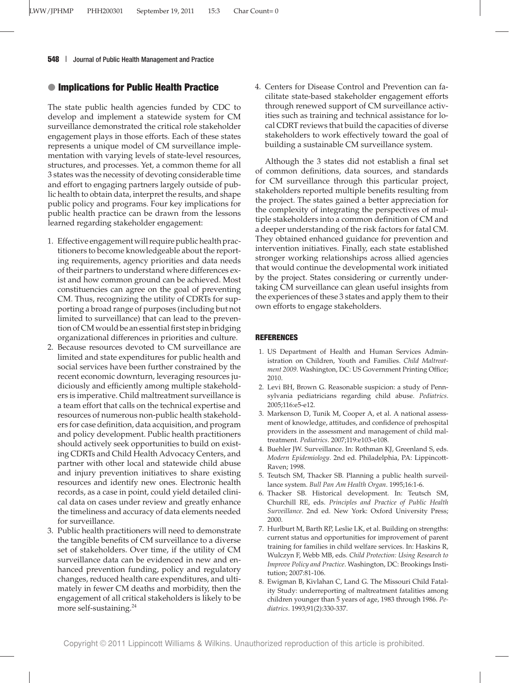# ● **Implications for Public Health Practice**

The state public health agencies funded by CDC to develop and implement a statewide system for CM surveillance demonstrated the critical role stakeholder engagement plays in those efforts. Each of these states represents a unique model of CM surveillance implementation with varying levels of state-level resources, structures, and processes. Yet, a common theme for all 3 states was the necessity of devoting considerable time and effort to engaging partners largely outside of public health to obtain data, interpret the results, and shape public policy and programs. Four key implications for public health practice can be drawn from the lessons learned regarding stakeholder engagement:

- 1. Effective engagement will require public health practitioners to become knowledgeable about the reporting requirements, agency priorities and data needs of their partners to understand where differences exist and how common ground can be achieved. Most constituencies can agree on the goal of preventing CM. Thus, recognizing the utility of CDRTs for supporting a broad range of purposes (including but not limited to surveillance) that can lead to the prevention of CM would be an essential first step in bridging organizational differences in priorities and culture.
- 2. Because resources devoted to CM surveillance are limited and state expenditures for public health and social services have been further constrained by the recent economic downturn, leveraging resources judiciously and efficiently among multiple stakeholders is imperative. Child maltreatment surveillance is a team effort that calls on the technical expertise and resources of numerous non-public health stakeholders for case definition, data acquisition, and program and policy development. Public health practitioners should actively seek opportunities to build on existing CDRTs and Child Health Advocacy Centers, and partner with other local and statewide child abuse and injury prevention initiatives to share existing resources and identify new ones. Electronic health records, as a case in point, could yield detailed clinical data on cases under review and greatly enhance the timeliness and accuracy of data elements needed for surveillance.
- 3. Public health practitioners will need to demonstrate the tangible benefits of CM surveillance to a diverse set of stakeholders. Over time, if the utility of CM surveillance data can be evidenced in new and enhanced prevention funding, policy and regulatory changes, reduced health care expenditures, and ultimately in fewer CM deaths and morbidity, then the engagement of all critical stakeholders is likely to be more self-sustaining.<sup>24</sup>

4. Centers for Disease Control and Prevention can facilitate state-based stakeholder engagement efforts through renewed support of CM surveillance activities such as training and technical assistance for local CDRT reviews that build the capacities of diverse stakeholders to work effectively toward the goal of building a sustainable CM surveillance system.

Although the 3 states did not establish a final set of common definitions, data sources, and standards for CM surveillance through this particular project, stakeholders reported multiple benefits resulting from the project. The states gained a better appreciation for the complexity of integrating the perspectives of multiple stakeholders into a common definition of CM and a deeper understanding of the risk factors for fatal CM. They obtained enhanced guidance for prevention and intervention initiatives. Finally, each state established stronger working relationships across allied agencies that would continue the developmental work initiated by the project. States considering or currently undertaking CM surveillance can glean useful insights from the experiences of these 3 states and apply them to their own efforts to engage stakeholders.

### **REFERENCES**

- 1. US Department of Health and Human Services Administration on Children, Youth and Families. *Child Maltreatment 2009.* Washington, DC: US Government Printing Office; 2010.
- 2. Levi BH, Brown G. Reasonable suspicion: a study of Pennsylvania pediatricians regarding child abuse. *Pediatrics*. 2005;116:e5-e12.
- 3. Markenson D, Tunik M, Cooper A, et al. A national assessment of knowledge, attitudes, and confidence of prehospital providers in the assessment and management of child maltreatment. *Pediatrics*. 2007;119:e103-e108.
- 4. Buehler JW. Surveillance. In: Rothman KJ, Greenland S, eds. *Modern Epidemiology*. 2nd ed. Philadelphia, PA: Lippincott-Raven; 1998.
- 5. Teutsch SM, Thacker SB. Planning a public health surveillance system. *Bull Pan Am Health Organ*. 1995;16:1-6.
- 6. Thacker SB. Historical development. In: Teutsch SM, Churchill RE, eds. *Principles and Practice of Public Health Surveillance*. 2nd ed. New York: Oxford University Press; 2000.
- 7. Hurlburt M, Barth RP, Leslie LK, et al. Building on strengths: current status and opportunities for improvement of parent training for families in child welfare services. In: Haskins R, Wulczyn F, Webb MB, eds. *Child Protection: Using Research to Improve Policy and Practice*. Washington, DC: Brookings Institution; 2007:81-106.
- 8. Ewigman B, Kivlahan C, Land G. The Missouri Child Fatality Study: underreporting of maltreatment fatalities among children younger than 5 years of age, 1983 through 1986. *Pediatrics*. 1993;91(2):330-337.